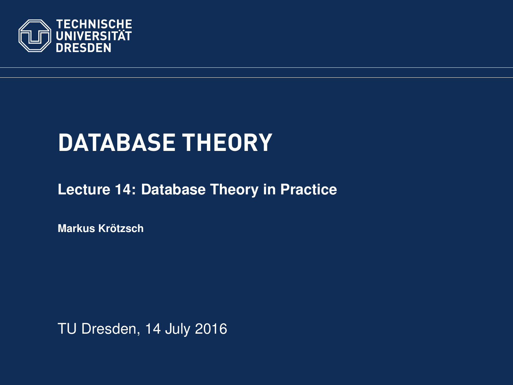<span id="page-0-0"></span>

# **DATABASE THEORY**

**[Lecture 14: Database Theory in Practice](https://ddll.inf.tu-dresden.de/web/Database_Theory_%28SS2016%29/en)**

**[Markus Krotzsch](http://korrekt.org/) ¨**

TU Dresden, 14 July 2016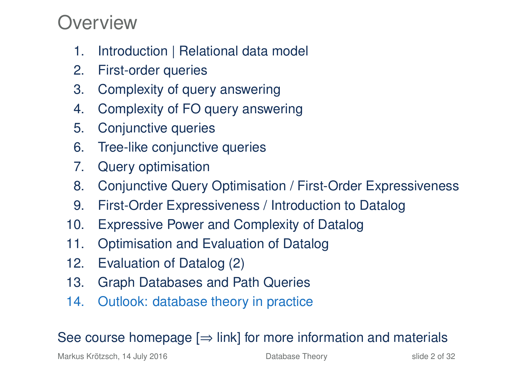### Overview

- 1. Introduction | Relational data model
- 2. First-order queries
- 3. Complexity of query answering
- 4. Complexity of FO query answering
- 5. Conjunctive queries
- 6. Tree-like conjunctive queries
- 7. Query optimisation
- 8. Conjunctive Query Optimisation / First-Order Expressiveness
- 9. First-Order Expressiveness / Introduction to Datalog
- 10. Expressive Power and Complexity of Datalog
- 11. Optimisation and Evaluation of Datalog
- 12. Evaluation of Datalog (2)
- 13. Graph Databases and Path Queries
- 14. Outlook: database theory in practice

### See course homepage  $[\Rightarrow]$  link] for more information and materials

Markus Krötzsch, 14 July 2016 **[Database Theory](#page-0-0)** Slide 2 of 32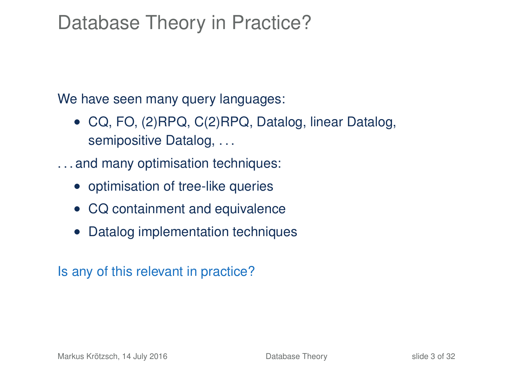### Database Theory in Practice?

We have seen many query languages:

- CQ, FO, (2)RPQ, C(2)RPQ, Datalog, linear Datalog, semipositive Datalog, . . .
- . . . and many optimisation techniques:
	- optimisation of tree-like queries
	- CQ containment and equivalence
	- Datalog implementation techniques

Is any of this relevant in practice?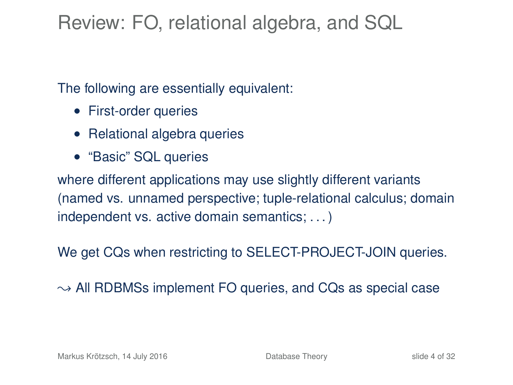## Review: FO, relational algebra, and SQL

The following are essentially equivalent:

- First-order queries
- Relational algebra queries
- "Basic" SQL queries

where different applications may use slightly different variants (named vs. unnamed perspective; tuple-relational calculus; domain independent vs. active domain semantics; . . . )

We get CQs when restricting to SELECT-PROJECT-JOIN queries.

 $\rightarrow$  All RDBMSs implement FO queries, and CQs as special case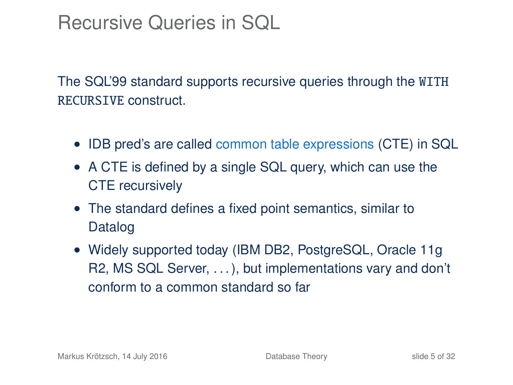### Recursive Queries in SQL

The SQL'99 standard supports recursive queries through the WITH RECURSIVE construct.

- IDB pred's are called common table expressions (CTE) in SQL
- A CTE is defined by a single SQL query, which can use the CTE recursively
- The standard defines a fixed point semantics, similar to Datalog
- Widely supported today (IBM DB2, PostgreSQL, Oracle 11g) R2, MS SQL Server, . . . ), but implementations vary and don't conform to a common standard so far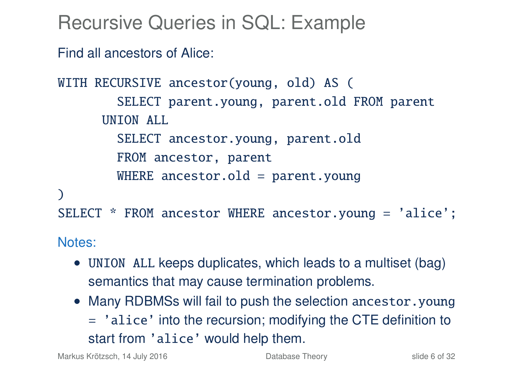Recursive Queries in SQL: Example

Find all ancestors of Alice:

```
WITH RECURSIVE ancestor(young, old) AS (
        SELECT parent.young, parent.old FROM parent
      UNION ALL
        SELECT ancestor.young, parent.old
        FROM ancestor, parent
        WHERE ancestor.old = parent.vounq\lambdaSELECT * FROM ancestor WHERE ancestor.young = 'alice';
```
Notes:

- UNION ALL keeps duplicates, which leads to a multiset (bag) semantics that may cause termination problems.
- Many RDBMSs will fail to push the selection ancestor. young = 'alice' into the recursion; modifying the CTE definition to start from 'alice' would help them.

Markus Krötzsch, 14 July 2016 **[Database Theory](#page-0-0)** Slide 6 of 32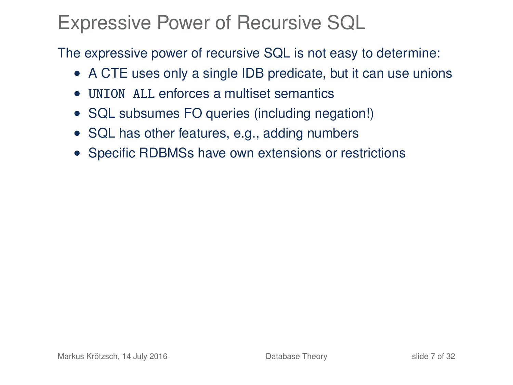### Expressive Power of Recursive SQL

The expressive power of recursive SQL is not easy to determine:

- A CTE uses only a single IDB predicate, but it can use unions
- UNION ALL enforces a multiset semantics
- SQL subsumes FO queries (including negation!)
- SQL has other features, e.g., adding numbers
- Specific RDBMSs have own extensions or restrictions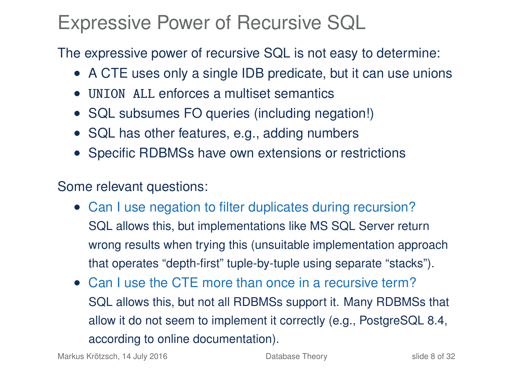### Expressive Power of Recursive SQL

The expressive power of recursive SQL is not easy to determine:

- A CTE uses only a single IDB predicate, but it can use unions
- UNION ALL enforces a multiset semantics
- SQL subsumes FO queries (including negation!)
- SQL has other features, e.g., adding numbers
- Specific RDBMSs have own extensions or restrictions

Some relevant questions:

- Can I use negation to filter duplicates during recursion? SQL allows this, but implementations like MS SQL Server return wrong results when trying this (unsuitable implementation approach that operates "depth-first" tuple-by-tuple using separate "stacks").
- Can I use the CTE more than once in a recursive term? SQL allows this, but not all RDBMSs support it. Many RDBMSs that allow it do not seem to implement it correctly (e.g., PostgreSQL 8.4, according to online documentation).

Markus Krötzsch, 14 July 2016 **[Database Theory](#page-0-0)** Slide 8 of 32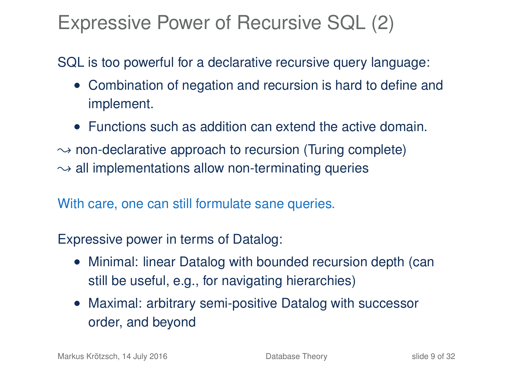### Expressive Power of Recursive SQL (2)

### SQL is too powerful for a declarative recursive query language:

- Combination of negation and recursion is hard to define and implement.
- Functions such as addition can extend the active domain.
- $\rightarrow$  non-declarative approach to recursion (Turing complete)
- $\rightarrow$  all implementations allow non-terminating queries

With care, one can still formulate sane queries.

Expressive power in terms of Datalog:

- Minimal: linear Datalog with bounded recursion depth (can still be useful, e.g., for navigating hierarchies)
- Maximal: arbitrary semi-positive Datalog with successor order, and beyond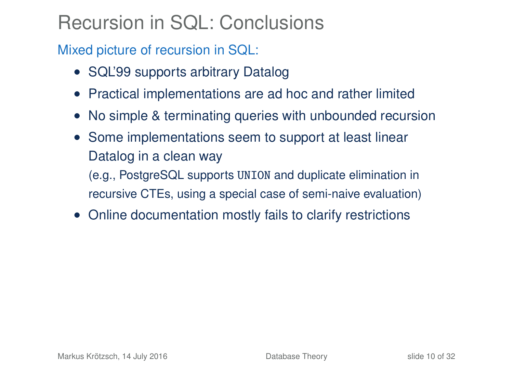# Recursion in SQL: Conclusions

Mixed picture of recursion in SQL:

- SQL'99 supports arbitrary Datalog
- Practical implementations are ad hoc and rather limited
- No simple & terminating queries with unbounded recursion
- Some implementations seem to support at least linear Datalog in a clean way

(e.g., PostgreSQL supports UNION and duplicate elimination in recursive CTEs, using a special case of semi-naive evaluation)

• Online documentation mostly fails to clarify restrictions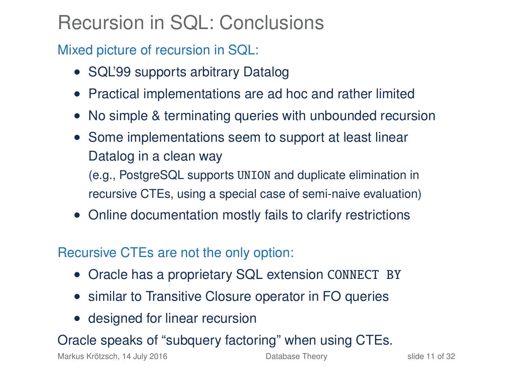# Recursion in SQL: Conclusions

Mixed picture of recursion in SQL:

- SQL'99 supports arbitrary Datalog
- Practical implementations are ad hoc and rather limited
- No simple & terminating queries with unbounded recursion
- Some implementations seem to support at least linear Datalog in a clean way

(e.g., PostgreSQL supports UNION and duplicate elimination in recursive CTEs, using a special case of semi-naive evaluation)

• Online documentation mostly fails to clarify restrictions

### Recursive CTEs are not the only option:

- Oracle has a proprietary SQL extension CONNECT BY
- similar to Transitive Closure operator in FO queries
- designed for linear recursion

### Oracle speaks of "subquery factoring" when using CTEs.

Markus Krötzsch, 14 July 2016 **[Database Theory](#page-0-0)** Slide 11 of 32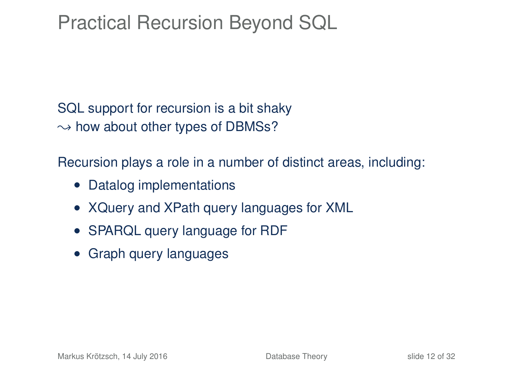### Practical Recursion Beyond SQL

SQL support for recursion is a bit shaky  $\rightarrow$  how about other types of DBMSs?

Recursion plays a role in a number of distinct areas, including:

- Datalog implementations
- XQuery and XPath query languages for XML
- SPARQL query language for RDF
- Graph query languages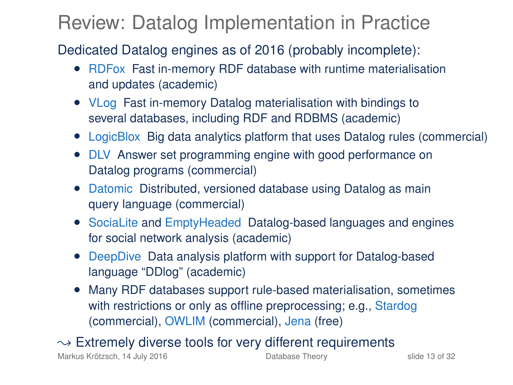### Review: Datalog Implementation in Practice

Dedicated Datalog engines as of 2016 (probably incomplete):

- RDFox Fast in-memory RDF database with runtime materialisation and updates (academic)
- VLog Fast in-memory Datalog materialisation with bindings to several databases, including RDF and RDBMS (academic)
- LogicBlox Big data analytics platform that uses Datalog rules (commercial)
- DLV Answer set programming engine with good performance on Datalog programs (commercial)
- Datomic Distributed, versioned database using Datalog as main query language (commercial)
- SociaLite and EmptyHeaded Datalog-based languages and engines for social network analysis (academic)
- DeepDive Data analysis platform with support for Datalog-based language "DDlog" (academic)
- Many RDF databases support rule-based materialisation, sometimes with restrictions or only as offline preprocessing; e.g., Stardog (commercial), OWLIM (commercial), Jena (free)

 $\rightarrow$  Extremely diverse tools for very different requirements

Markus Krötzsch, 14 July 2016 **[Database Theory](#page-0-0)** Slide 13 of 32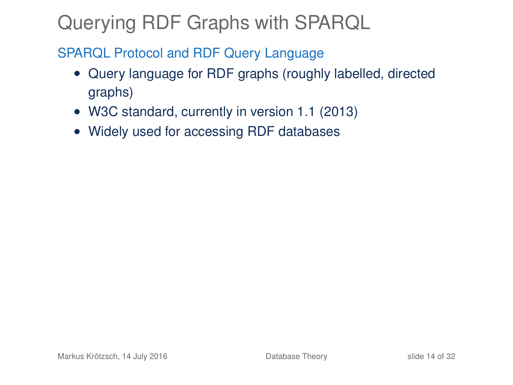# Querying RDF Graphs with SPARQL

#### SPARQL Protocol and RDF Query Language

- Query language for RDF graphs (roughly labelled, directed graphs)
- W3C standard, currently in version 1.1 (2013)
- Widely used for accessing RDF databases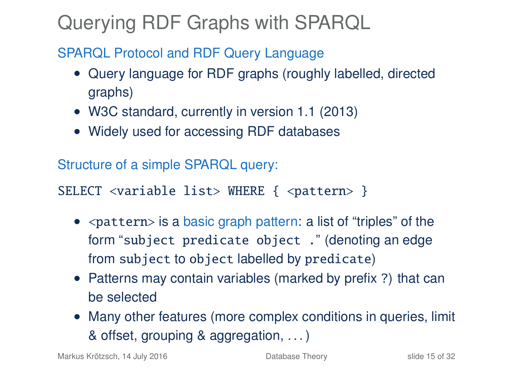# Querying RDF Graphs with SPARQL

### SPARQL Protocol and RDF Query Language

- Query language for RDF graphs (roughly labelled, directed graphs)
- W3C standard, currently in version 1.1 (2013)
- Widely used for accessing RDF databases

Structure of a simple SPARQL query:

SELECT <variable list> WHERE { <pattern> }

- $\bullet$  <pattern> is a basic graph pattern: a list of "triples" of the form "subject predicate object ." (denoting an edge from subject to object labelled by predicate)
- Patterns may contain variables (marked by prefix ?) that can be selected
- Many other features (more complex conditions in queries, limit & offset, grouping & aggregation, . . . )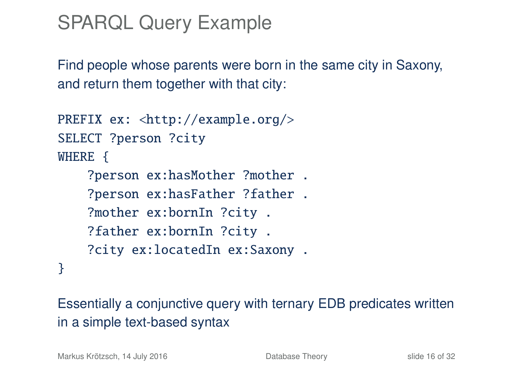# SPARQL Query Example

Find people whose parents were born in the same city in Saxony, and return them together with that city:

```
PREFIX ex: <http://example.org/>
SELECT ?person ?city
WHERE {
    ?person ex:hasMother ?mother .
    ?person ex:hasFather ?father .
    ?mother ex:bornIn ?city .
    ?father ex:bornIn ?city .
    ?city ex:locatedIn ex:Saxony .
}
```
Essentially a conjunctive query with ternary EDB predicates written in a simple text-based syntax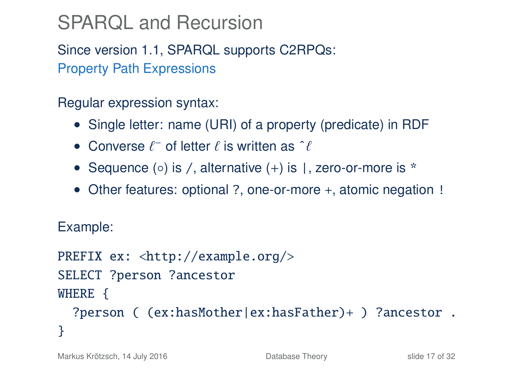# SPARQL and Recursion

Since version 1.1, SPARQL supports C2RPQs: Property Path Expressions

Regular expression syntax:

- Single letter: name (URI) of a property (predicate) in RDF
- Converse  $\ell^-$  of letter  $\ell$  is written as  $\hat{\ell}$
- Sequence  $(\circ)$  is /, alternative  $(+)$  is |, zero-or-more is  $*$
- Other features: optional ?, one-or-more +, atomic negation !

Example:

```
PREFIX ex: <http://example.org/>
SELECT ?person ?ancestor
WHERE {
  ?person ( (ex:hasMother|ex:hasFather)+ ) ?ancestor .
}
```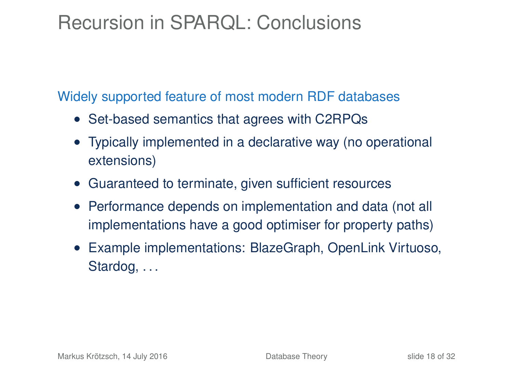### Recursion in SPARQL: Conclusions

#### Widely supported feature of most modern RDF databases

- Set-based semantics that agrees with C2RPQs
- Typically implemented in a declarative way (no operational extensions)
- Guaranteed to terminate, given sufficient resources
- Performance depends on implementation and data (not all implementations have a good optimiser for property paths)
- Example implementations: BlazeGraph, OpenLink Virtuoso, Stardog, ...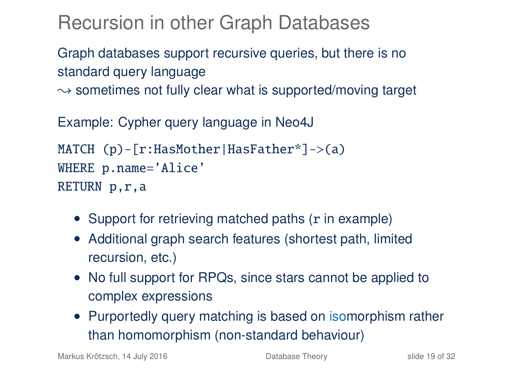Recursion in other Graph Databases

Graph databases support recursive queries, but there is no standard query language

 $\rightarrow$  sometimes not fully clear what is supported/moving target

Example: Cypher query language in Neo4J

```
MATCH (p)-[r:HasMother|HasFather*]->(a)WHERE p.name='Alice'
RETURN p,r,a
```
- Support for retrieving matched paths (r in example)
- Additional graph search features (shortest path, limited recursion, etc.)
- No full support for RPQs, since stars cannot be applied to complex expressions
- Purportedly query matching is based on isomorphism rather than homomorphism (non-standard behaviour)

Markus Krötzsch, 14 July 2016 **[Database Theory](#page-0-0)** Slide 19 of 32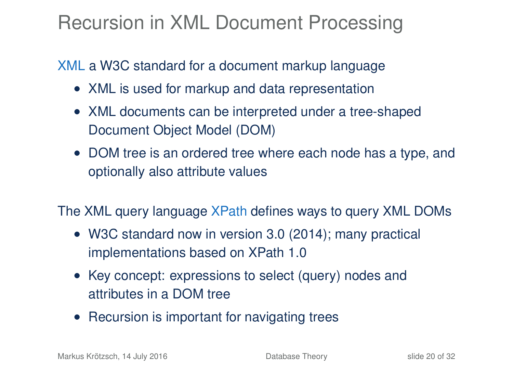# Recursion in XML Document Processing

### XML a W3C standard for a document markup language

- XML is used for markup and data representation
- XML documents can be interpreted under a tree-shaped Document Object Model (DOM)
- DOM tree is an ordered tree where each node has a type, and optionally also attribute values

The XML query language XPath defines ways to query XML DOMs

- W3C standard now in version 3.0 (2014); many practical implementations based on XPath 1.0
- Key concept: expressions to select (query) nodes and attributes in a DOM tree
- Recursion is important for navigating trees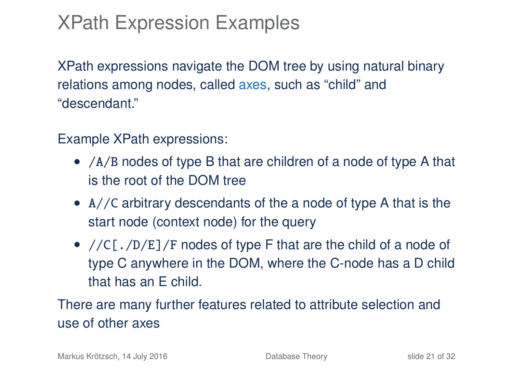# XPath Expression Examples

XPath expressions navigate the DOM tree by using natural binary relations among nodes, called axes, such as "child" and "descendant."

Example XPath expressions:

- /A/B nodes of type B that are children of a node of type A that is the root of the DOM tree
- A//C arbitrary descendants of the a node of type A that is the start node (context node) for the query
- //C[./D/E]/F nodes of type F that are the child of a node of type C anywhere in the DOM, where the C-node has a D child that has an E child.

There are many further features related to attribute selection and use of other axes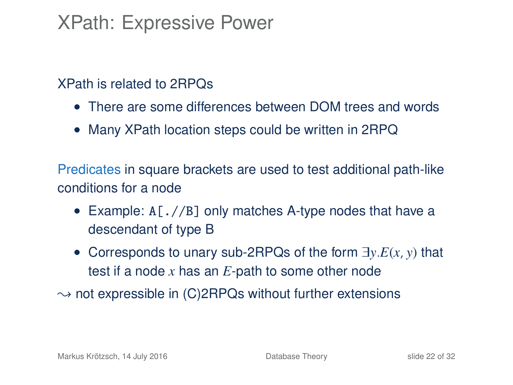### XPath: Expressive Power

#### XPath is related to 2RPQs

- There are some differences between DOM trees and words
- Many XPath location steps could be written in 2RPQ

Predicates in square brackets are used to test additional path-like conditions for a node

- Example: A[.//B] only matches A-type nodes that have a descendant of type B
- Corresponds to unary sub-2RPQs of the form ∃*y*.*E*(*x*, *y*) that test if a node *x* has an *E*-path to some other node
- $\rightarrow$  not expressible in (C)2RPQs without further extensions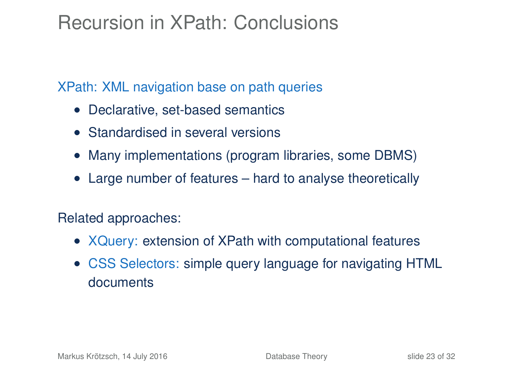## Recursion in XPath: Conclusions

XPath: XML navigation base on path queries

- Declarative, set-based semantics
- Standardised in several versions
- Many implementations (program libraries, some DBMS)
- Large number of features hard to analyse theoretically

Related approaches:

- XQuery: extension of XPath with computational features
- CSS Selectors: simple query language for navigating HTML documents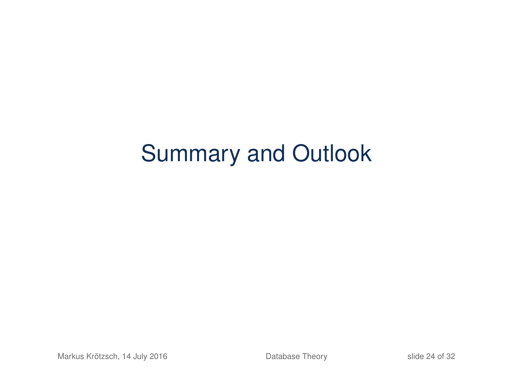# Summary and Outlook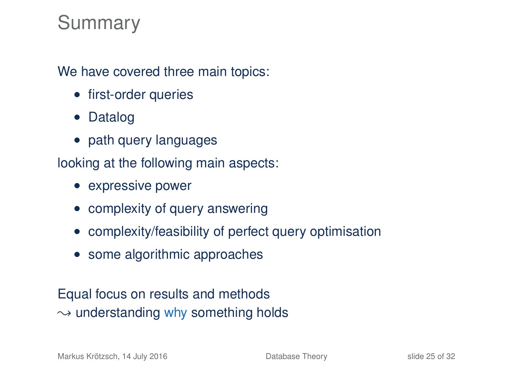### Summary

We have covered three main topics:

- first-order queries
- Datalog
- path query languages

looking at the following main aspects:

- expressive power
- complexity of query answering
- complexity/feasibility of perfect query optimisation
- some algorithmic approaches

### Equal focus on results and methods  $\rightarrow$  understanding why something holds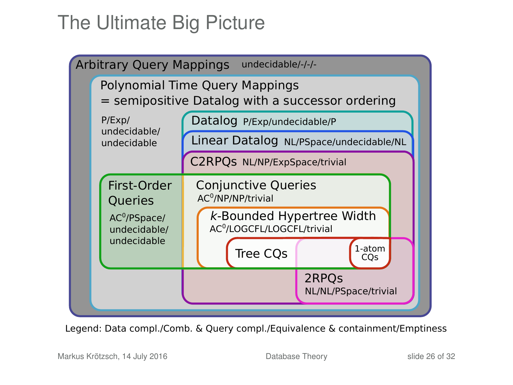# The Ultimate Big Picture



Legend: Data compl./Comb. & Query compl./Equivalence & containment/Emptiness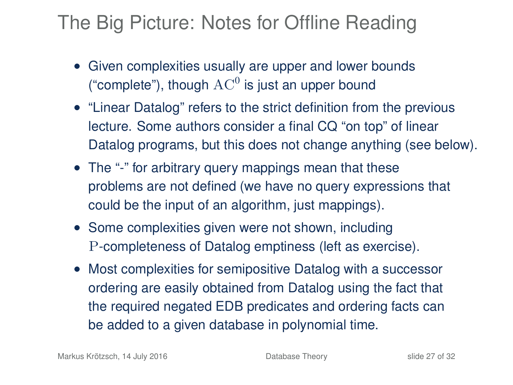## The Big Picture: Notes for Offline Reading

- Given complexities usually are upper and lower bounds ("complete"), though  $\operatorname{AC}^0$  is just an upper bound
- "Linear Datalog" refers to the strict definition from the previous lecture. Some authors consider a final CQ "on top" of linear Datalog programs, but this does not change anything (see below).
- The "-" for arbitrary query mappings mean that these problems are not defined (we have no query expressions that could be the input of an algorithm, just mappings).
- Some complexities given were not shown, including P-completeness of Datalog emptiness (left as exercise).
- Most complexities for semipositive Datalog with a successor ordering are easily obtained from Datalog using the fact that the required negated EDB predicates and ordering facts can be added to a given database in polynomial time.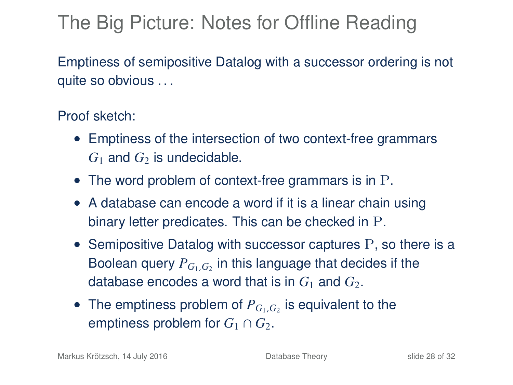# The Big Picture: Notes for Offline Reading

Emptiness of semipositive Datalog with a successor ordering is not quite so obvious . . .

#### Proof sketch:

- Emptiness of the intersection of two context-free grammars  $G_1$  and  $G_2$  is undecidable.
- The word problem of context-free grammars is in P.
- A database can encode a word if it is a linear chain using binary letter predicates. This can be checked in P.
- Semipositive Datalog with successor captures P, so there is a Boolean query  $P_{G_1,G_2}$  in this language that decides if the database encodes a word that is in  $G_1$  and  $G_2$ .
- The emptiness problem of  $P_{G_1,G_2}$  is equivalent to the emptiness problem for  $G_1 \cap G_2$ .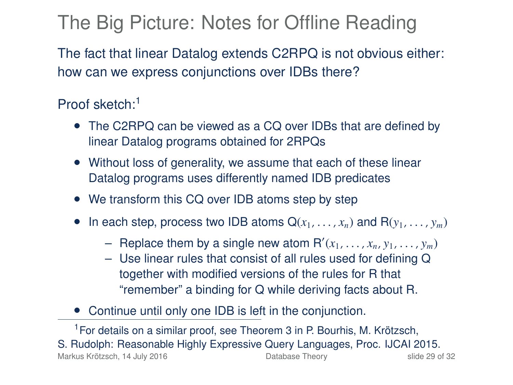# The Big Picture: Notes for Offline Reading

The fact that linear Datalog extends C2RPQ is not obvious either: how can we express conjunctions over IDBs there?

### Proof sketch:<sup>1</sup>

- The C2RPQ can be viewed as a CQ over IDBs that are defined by linear Datalog programs obtained for 2RPQs
- Without loss of generality, we assume that each of these linear Datalog programs uses differently named IDB predicates
- We transform this CQ over IDB atoms step by step
- In each step, process two IDB atoms  $Q(x_1, \ldots, x_n)$  and  $R(y_1, \ldots, y_m)$ 
	- Replace them by a single new atom  $R'(x_1, \ldots, x_n, y_1, \ldots, y_m)$ <br>- The linear rules that consist of all rules used for defining O
	- Use linear rules that consist of all rules used for defining Q together with modified versions of the rules for R that "remember" a binding for Q while deriving facts about R.
- Continue until only one IDB is left in the conjunction.

<sup>1</sup>For details on a similar proof, see Theorem 3 in P. Bourhis, M. Krötzsch, S. Rudolph: Reasonable Highly Expressive Query Languages, Proc. IJCAI 2015. Markus Krötzsch, 14 July 2016 **[Database Theory](#page-0-0)** Slide 29 of 32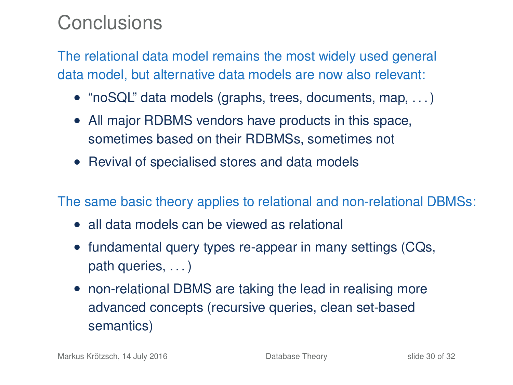### Conclusions

The relational data model remains the most widely used general data model, but alternative data models are now also relevant:

- "noSQL" data models (graphs, trees, documents, map, ...)
- All major RDBMS vendors have products in this space, sometimes based on their RDBMSs, sometimes not
- Revival of specialised stores and data models

The same basic theory applies to relational and non-relational DBMSs:

- all data models can be viewed as relational
- fundamental query types re-appear in many settings (CQs, path queries, . . . )
- non-relational DBMS are taking the lead in realising more advanced concepts (recursive queries, clean set-based semantics)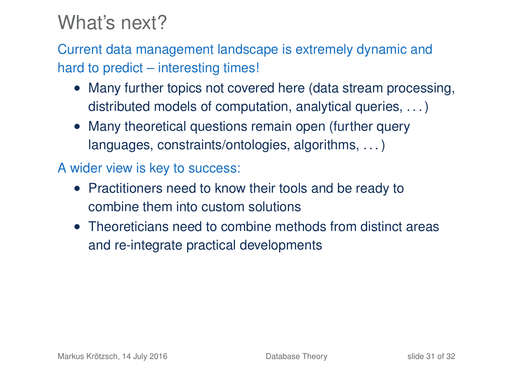### What's next?

Current data management landscape is extremely dynamic and hard to predict – interesting times!

- Many further topics not covered here (data stream processing, distributed models of computation, analytical queries, ...)
- Many theoretical questions remain open (further query languages, constraints/ontologies, algorithms, . . . )
- A wider view is key to success:
	- Practitioners need to know their tools and be ready to combine them into custom solutions
	- Theoreticians need to combine methods from distinct areas and re-integrate practical developments